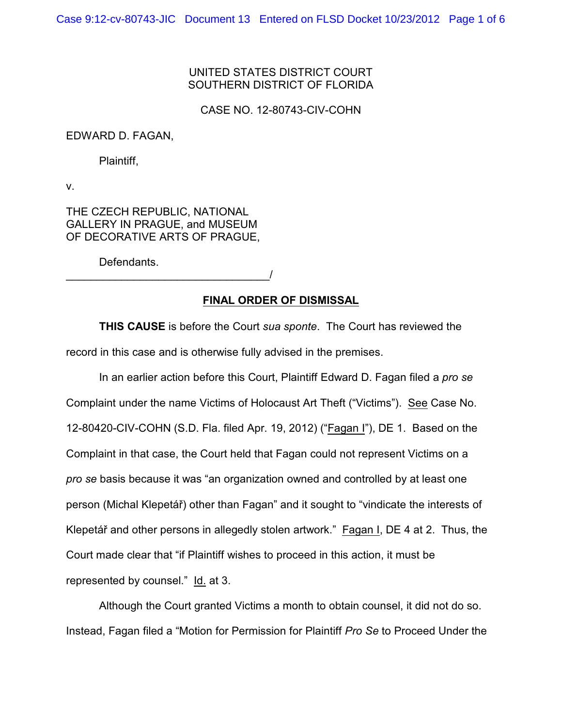## UNITED STATES DISTRICT COURT SOUTHERN DISTRICT OF FLORIDA

CASE NO. 12-80743-CIV-COHN

## EDWARD D. FAGAN,

Plaintiff,

v.

THE CZECH REPUBLIC, NATIONAL GALLERY IN PRAGUE, and MUSEUM OF DECORATIVE ARTS OF PRAGUE,

Defendants.

\_\_\_\_\_\_\_\_\_\_\_\_\_\_\_\_\_\_\_\_\_\_\_\_\_\_\_\_\_\_\_\_\_/

## **FINAL ORDER OF DISMISSAL**

**THIS CAUSE** is before the Court *sua sponte*. The Court has reviewed the record in this case and is otherwise fully advised in the premises.

In an earlier action before this Court, Plaintiff Edward D. Fagan filed a *pro se* Complaint under the name Victims of Holocaust Art Theft ("Victims"). See Case No. 12-80420-CIV-COHN (S.D. Fla. filed Apr. 19, 2012) ("Fagan I"), DE 1. Based on the Complaint in that case, the Court held that Fagan could not represent Victims on a *pro se* basis because it was "an organization owned and controlled by at least one person (Michal Klepetář) other than Fagan" and it sought to "vindicate the interests of Klepetář and other persons in allegedly stolen artwork." Fagan I, DE 4 at 2. Thus, the Court made clear that "if Plaintiff wishes to proceed in this action, it must be represented by counsel." Id. at 3.

Although the Court granted Victims a month to obtain counsel, it did not do so. Instead, Fagan filed a "Motion for Permission for Plaintiff *Pro Se* to Proceed Under the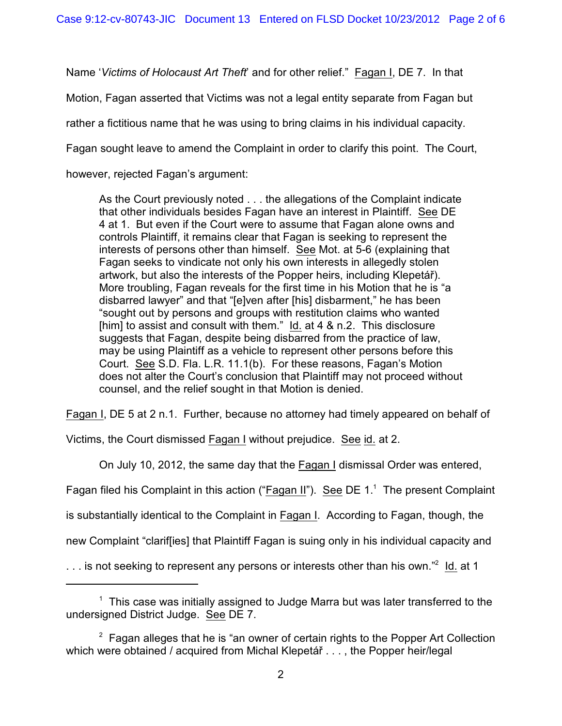Name '*Victims of Holocaust Art Theft*' and for other relief." Fagan I, DE 7. In that

Motion, Fagan asserted that Victims was not a legal entity separate from Fagan but

rather a fictitious name that he was using to bring claims in his individual capacity.

Fagan sought leave to amend the Complaint in order to clarify this point. The Court,

however, rejected Fagan's argument:

As the Court previously noted . . . the allegations of the Complaint indicate that other individuals besides Fagan have an interest in Plaintiff. See DE 4 at 1. But even if the Court were to assume that Fagan alone owns and controls Plaintiff, it remains clear that Fagan is seeking to represent the interests of persons other than himself. See Mot. at 5-6 (explaining that Fagan seeks to vindicate not only his own interests in allegedly stolen artwork, but also the interests of the Popper heirs, including Klepetář). More troubling, Fagan reveals for the first time in his Motion that he is "a disbarred lawyer" and that "[e]ven after [his] disbarment," he has been "sought out by persons and groups with restitution claims who wanted [him] to assist and consult with them." Id. at 4 & n.2. This disclosure suggests that Fagan, despite being disbarred from the practice of law, may be using Plaintiff as a vehicle to represent other persons before this Court. See S.D. Fla. L.R. 11.1(b). For these reasons, Fagan's Motion does not alter the Court's conclusion that Plaintiff may not proceed without counsel, and the relief sought in that Motion is denied.

Fagan I, DE 5 at 2 n.1. Further, because no attorney had timely appeared on behalf of

Victims, the Court dismissed Fagan I without prejudice. See id. at 2.

On July 10, 2012, the same day that the Fagan I dismissal Order was entered,

Fagan filed his Complaint in this action ("Fagan II"). See DE  $1<sup>1</sup>$  The present Complaint

is substantially identical to the Complaint in Fagan I. According to Fagan, though, the

new Complaint "clarif[ies] that Plaintiff Fagan is suing only in his individual capacity and

... is not seeking to represent any persons or interests other than his own."<sup>2</sup> Id. at 1

 $1$  This case was initially assigned to Judge Marra but was later transferred to the undersigned District Judge. See DE 7.

 $2$  Fagan alleges that he is "an owner of certain rights to the Popper Art Collection which were obtained / acquired from Michal Klepetář . . . , the Popper heir/legal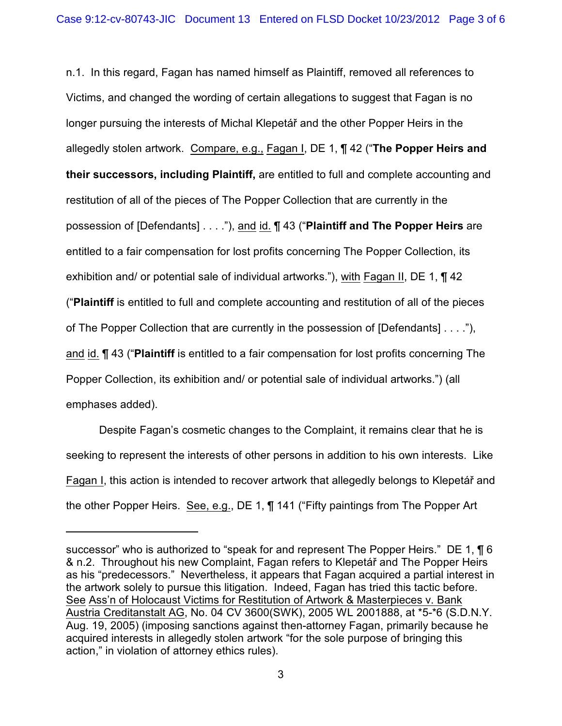n.1. In this regard, Fagan has named himself as Plaintiff, removed all references to Victims, and changed the wording of certain allegations to suggest that Fagan is no longer pursuing the interests of Michal Klepetár and the other Popper Heirs in the allegedly stolen artwork. Compare, e.g., Fagan I, DE 1, ¶ 42 ("**The Popper Heirs and their successors, including Plaintiff,** are entitled to full and complete accounting and restitution of all of the pieces of The Popper Collection that are currently in the possession of [Defendants] . . . ."), and id. ¶ 43 ("**Plaintiff and The Popper Heirs** are entitled to a fair compensation for lost profits concerning The Popper Collection, its exhibition and/ or potential sale of individual artworks."), with Fagan II, DE 1, ¶ 42 ("**Plaintiff** is entitled to full and complete accounting and restitution of all of the pieces of The Popper Collection that are currently in the possession of [Defendants] . . . ."), and id. ¶ 43 ("**Plaintiff** is entitled to a fair compensation for lost profits concerning The Popper Collection, its exhibition and/ or potential sale of individual artworks.") (all emphases added).

Despite Fagan's cosmetic changes to the Complaint, it remains clear that he is seeking to represent the interests of other persons in addition to his own interests. Like Fagan I, this action is intended to recover artwork that allegedly belongs to Klepetář and the other Popper Heirs. See, e.g., DE 1, ¶ 141 ("Fifty paintings from The Popper Art

successor" who is authorized to "speak for and represent The Popper Heirs." DE 1, 16 & n.2. Throughout his new Complaint, Fagan refers to Klepetář and The Popper Heirs as his "predecessors." Nevertheless, it appears that Fagan acquired a partial interest in the artwork solely to pursue this litigation. Indeed, Fagan has tried this tactic before. See Ass'n of Holocaust Victims for Restitution of Artwork & Masterpieces v. Bank Austria Creditanstalt AG, No. 04 CV 3600(SWK), 2005 WL 2001888, at \*5-\*6 (S.D.N.Y. Aug. 19, 2005) (imposing sanctions against then-attorney Fagan, primarily because he acquired interests in allegedly stolen artwork "for the sole purpose of bringing this action," in violation of attorney ethics rules).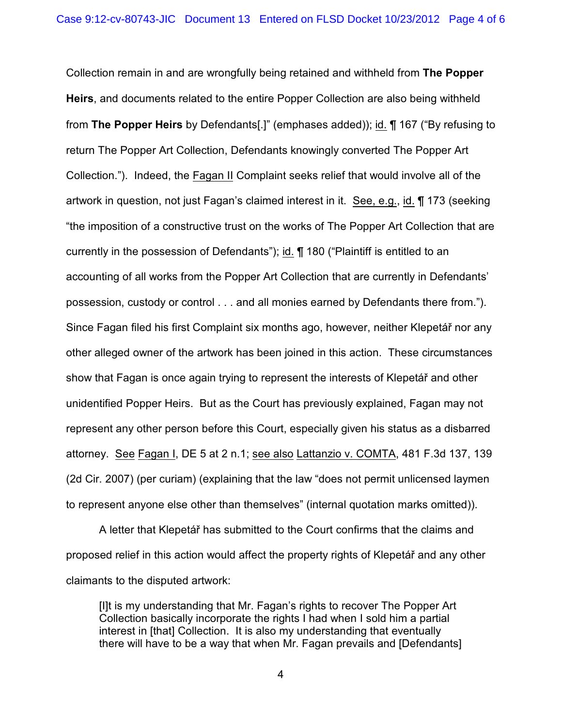Collection remain in and are wrongfully being retained and withheld from **The Popper Heirs**, and documents related to the entire Popper Collection are also being withheld from **The Popper Heirs** by Defendants[.]" (emphases added)); id. ¶ 167 ("By refusing to return The Popper Art Collection, Defendants knowingly converted The Popper Art Collection."). Indeed, the Fagan II Complaint seeks relief that would involve all of the artwork in question, not just Fagan's claimed interest in it. See, e.g., id. ¶ 173 (seeking "the imposition of a constructive trust on the works of The Popper Art Collection that are currently in the possession of Defendants"); id. ¶ 180 ("Plaintiff is entitled to an accounting of all works from the Popper Art Collection that are currently in Defendants' possession, custody or control . . . and all monies earned by Defendants there from."). Since Fagan filed his first Complaint six months ago, however, neither Klepetář nor any other alleged owner of the artwork has been joined in this action. These circumstances show that Fagan is once again trying to represent the interests of Klepetár and other unidentified Popper Heirs. But as the Court has previously explained, Fagan may not represent any other person before this Court, especially given his status as a disbarred attorney. See Fagan I, DE 5 at 2 n.1; see also Lattanzio v. COMTA, 481 F.3d 137, 139 (2d Cir. 2007) (per curiam) (explaining that the law "does not permit unlicensed laymen to represent anyone else other than themselves" (internal quotation marks omitted)).

A letter that Klepetář has submitted to the Court confirms that the claims and proposed relief in this action would affect the property rights of Klepetář and any other claimants to the disputed artwork:

[I]t is my understanding that Mr. Fagan's rights to recover The Popper Art Collection basically incorporate the rights I had when I sold him a partial interest in [that] Collection. It is also my understanding that eventually there will have to be a way that when Mr. Fagan prevails and [Defendants]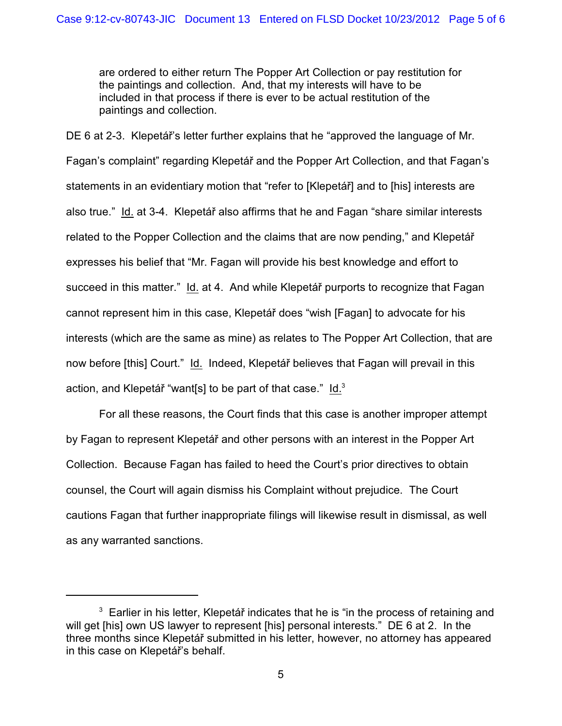are ordered to either return The Popper Art Collection or pay restitution for the paintings and collection. And, that my interests will have to be included in that process if there is ever to be actual restitution of the paintings and collection.

DE 6 at 2-3. Klepetár's letter further explains that he "approved the language of Mr. Fagan's complaint" regarding Klepetáø and the Popper Art Collection, and that Fagan's statements in an evidentiary motion that "refer to [Klepetář] and to [his] interests are also true." Id. at 3-4. Klepetář also affirms that he and Fagan "share similar interests related to the Popper Collection and the claims that are now pending," and Klepetář expresses his belief that "Mr. Fagan will provide his best knowledge and effort to succeed in this matter." Id. at 4. And while Klepetář purports to recognize that Fagan cannot represent him in this case, Klepetář does "wish [Fagan] to advocate for his interests (which are the same as mine) as relates to The Popper Art Collection, that are now before [this] Court." Id. Indeed, Klepetář believes that Fagan will prevail in this action, and Klepetář "want[s] to be part of that case."  $Id.<sup>3</sup>$ 

For all these reasons, the Court finds that this case is another improper attempt by Fagan to represent Klepetář and other persons with an interest in the Popper Art Collection. Because Fagan has failed to heed the Court's prior directives to obtain counsel, the Court will again dismiss his Complaint without prejudice. The Court cautions Fagan that further inappropriate filings will likewise result in dismissal, as well as any warranted sanctions.

 $3$  Earlier in his letter, Klepetář indicates that he is "in the process of retaining and will get [his] own US lawyer to represent [his] personal interests." DE 6 at 2. In the three months since Klepetář submitted in his letter, however, no attorney has appeared in this case on Klepetář's behalf.